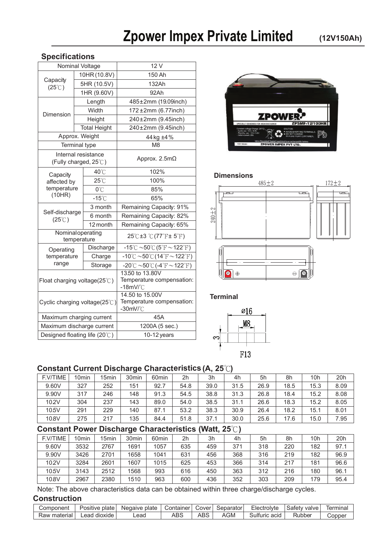#### **Specifications**

|                                               |  | Nominal Voltage                              | 12 V                                                                             |  |  |  |  |  |
|-----------------------------------------------|--|----------------------------------------------|----------------------------------------------------------------------------------|--|--|--|--|--|
|                                               |  | 10HR (10.8V)                                 | 150 Ah                                                                           |  |  |  |  |  |
| Capacity<br>$(25^{\circ}$ C)                  |  | 5HR (10.5V)                                  | 132Ah                                                                            |  |  |  |  |  |
|                                               |  | 1HR (9.60V)                                  | 92Ah                                                                             |  |  |  |  |  |
|                                               |  | Length                                       | 485±2mm (19.09inch)                                                              |  |  |  |  |  |
| Dimension                                     |  | Width                                        | 172 ±2mm (6.77inch)                                                              |  |  |  |  |  |
|                                               |  | Height                                       | 240±2mm (9.45inch)                                                               |  |  |  |  |  |
|                                               |  | <b>Total Height</b>                          | 240±2mm (9.45inch)                                                               |  |  |  |  |  |
|                                               |  | Approx. Weight                               | 44 kg ±4%                                                                        |  |  |  |  |  |
| <b>Terminal type</b>                          |  |                                              | M <sub>8</sub>                                                                   |  |  |  |  |  |
|                                               |  | Internal resistance<br>(Fully charged, 25°C) | Approx. $2.5m\Omega$                                                             |  |  |  |  |  |
| Capacity                                      |  | 40°C                                         | 102%                                                                             |  |  |  |  |  |
| affected by                                   |  | $25^{\circ}$ C                               | 100%                                                                             |  |  |  |  |  |
| temperature                                   |  | 0°C                                          | 85%                                                                              |  |  |  |  |  |
| (10HR)                                        |  | $-15^{\circ}$ C                              | 65%                                                                              |  |  |  |  |  |
| Self-discharge<br>$(25^{\circ}$ C)            |  | 3 month                                      | Remaining Capacity: 91%                                                          |  |  |  |  |  |
|                                               |  | 6 month                                      | Remaining Capacity: 82%                                                          |  |  |  |  |  |
|                                               |  | 12 month                                     | Remaining Capacity: 65%                                                          |  |  |  |  |  |
| Nominaloperating                              |  | temperature                                  | $25^{\circ}$ C±3 $^{\circ}$ C(77 $^{\circ}$ F± 5 $^{\circ}$ F)                   |  |  |  |  |  |
| Operating                                     |  | Discharge                                    | $-15^{\circ}$ C ~50 $^{\circ}$ C (5 $^{\circ}$ F ~ 122 $^{\circ}$ F)             |  |  |  |  |  |
| temperature                                   |  | Charge                                       | $-10^{\circ}$ C ~50 $\circ$ C (14 $\circ$ F ~122 $\circ$ F)                      |  |  |  |  |  |
| range                                         |  | Storage                                      | $-20^{\circ}$ C $\sim$ 50 $^{\circ}$ C (-4 $^{\circ}$ F $\sim$ 122 $^{\circ}$ F) |  |  |  |  |  |
| Float charging voltage $(25^{\circ}\text{C})$ |  |                                              | 13.50 to 13.80V<br>Temperature compensation:<br>$-18$ m $V$ / $^{\circ}$ $C$     |  |  |  |  |  |
| Cyclic charging voltage(25°C)                 |  |                                              | 14.50 to 15.00V<br>Temperature compensation:<br>$-30$ mV/ $^{\circ}$ C           |  |  |  |  |  |
| Maximum charging current                      |  |                                              | 45A                                                                              |  |  |  |  |  |
| Maximum discharge current                     |  |                                              | 1200A (5 sec.)                                                                   |  |  |  |  |  |
| Designed floating life (20°C)                 |  |                                              | 10-12 years                                                                      |  |  |  |  |  |



#### **Dimensions**



**Terminal** 



### **(A, 25**℃**) Constant Current Discharge Characteristics**

| F.V/TIME | 10 <sub>min</sub> | 15 <sub>min</sub> | 30 <sub>min</sub> | 60 <sub>min</sub> | 2h   | 3h   | 4h   | 5h   | 8h   | 10h  | 20h  |
|----------|-------------------|-------------------|-------------------|-------------------|------|------|------|------|------|------|------|
| 9.60V    | 327               | 252               | 151               | 92.7              | 54.8 | 39.0 | 31.5 | 26.9 | 18.5 | 15.3 | 8.09 |
| 9.90V    | 317               | 246               | 148               | 91.3              | 54.5 | 38.8 | 31.3 | 26.8 | 18.4 | 15.2 | 8.08 |
| 102V     | 304               | 237               | 143               | 89.0              | 54.0 | 38.5 | 31.1 | 26.6 | 18.3 | 15.2 | 8.05 |
| 10.5V    | 291               | 229               | 140               | 87.1              | 53.2 | 38.3 | 30.9 | 26.4 | 18.2 | 15.1 | 8.01 |
| 10.8V    | 275               | 217               | 135               | 84.4              | 51.8 | 37.1 | 30.0 | 25.6 | 17.6 | 15.0 | 7.95 |

## **Constant Power Discharge Characteristics (Watt, 25**℃**)**

| F.V/TIME | 10 <sub>min</sub> | 15min | 30 <sub>min</sub> | 60 <sub>min</sub> | 2 <sub>h</sub> | 3h  | 4h  | 5h  | 8h  | 10h | 20h  |
|----------|-------------------|-------|-------------------|-------------------|----------------|-----|-----|-----|-----|-----|------|
| 9.60V    | 3532              | 2767  | 1691              | 1057              | 635            | 459 | 371 | 318 | 220 | 182 | 97.1 |
| 9.90V    | 3426              | 2701  | 1658              | 1041              | 631            | 456 | 368 | 316 | 219 | 182 | 96.9 |
| 102V     | 3284              | 2601  | 1607              | 1015              | 625            | 453 | 366 | 314 | 217 | 181 | 96.6 |
| 10.5V    | 3143              | 2512  | 1568              | 993               | 616            | 450 | 363 | 312 | 216 | 180 | 96.1 |
| 10.8V    | 2967              | 2380  | 1510              | 963               | 600            | 436 | 352 | 303 | 209 | 179 | 95.4 |

Note: The above characteristics data can be obtained within three charge/discharge cycles.

#### **Construction**

| Component    | –<br>Positive<br>plate | Negaive<br>plate | Container     | Cover | Separator | Electrolvte           | Satetv<br>valve | ł<br>lermina |
|--------------|------------------------|------------------|---------------|-------|-----------|-----------------------|-----------------|--------------|
| Raw material | dioxide<br>∟ead        | Lead             | $\sim$<br>ீபட | ABS   | AGM       | acic<br>ا†ا⊍ذ<br>uric | Rubber          | こopper       |